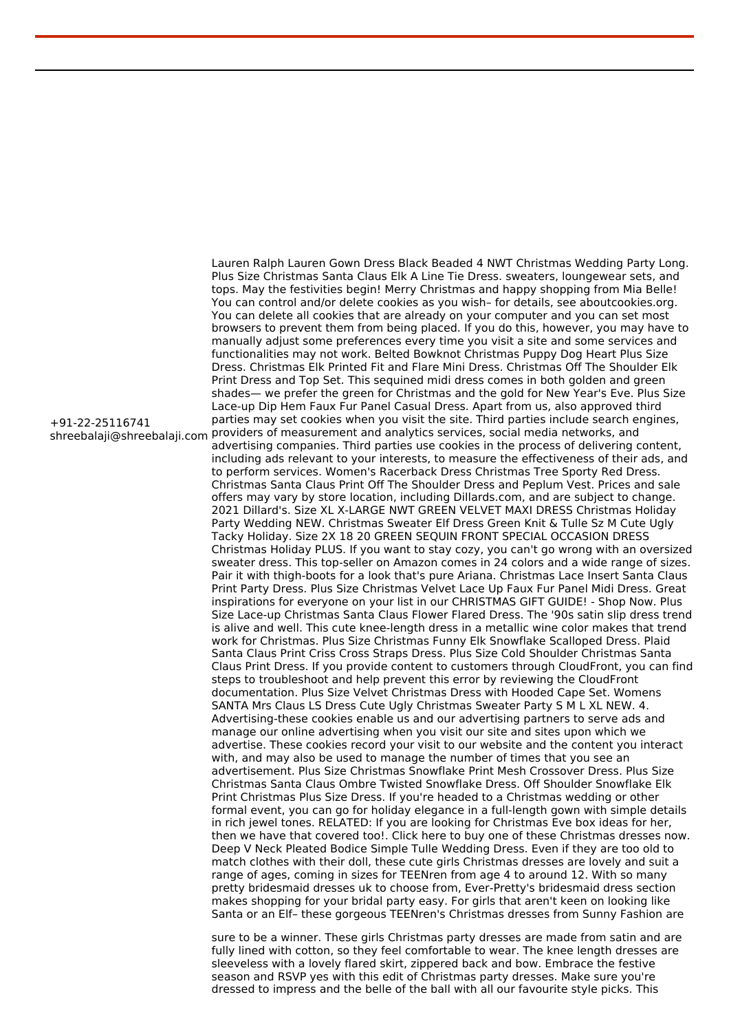shreebalaji@shreebalaji.com providers of measurement and analytics services, social media networks, and Lauren Ralph Lauren Gown Dress Black Beaded 4 NWT Christmas Wedding Party Long. Plus Size Christmas Santa Claus Elk A Line Tie Dress. sweaters, loungewear sets, and tops. May the festivities begin! Merry Christmas and happy shopping from Mia Belle! You can control and/or delete cookies as you wish– for details, see aboutcookies.org. You can delete all cookies that are already on your computer and you can set most browsers to prevent them from being placed. If you do this, however, you may have to manually adjust some preferences every time you visit a site and some services and functionalities may not work. Belted Bowknot Christmas Puppy Dog Heart Plus Size Dress. Christmas Elk Printed Fit and Flare Mini Dress. Christmas Off The Shoulder Elk Print Dress and Top Set. This sequined midi dress comes in both golden and green shades— we prefer the green for Christmas and the gold for New Year's Eve. Plus Size Lace-up Dip Hem Faux Fur Panel Casual Dress. Apart from us, also approved third parties may set cookies when you visit the site. Third parties include search engines, advertising companies. Third parties use cookies in the process of delivering content, including ads relevant to your interests, to measure the effectiveness of their ads, and to perform services. Women's Racerback Dress Christmas Tree Sporty Red Dress. Christmas Santa Claus Print Off The Shoulder Dress and Peplum Vest. Prices and sale offers may vary by store location, including Dillards.com, and are subject to change. 2021 Dillard's. Size XL X-LARGE NWT GREEN VELVET MAXI DRESS Christmas Holiday Party Wedding NEW. Christmas Sweater Elf Dress Green Knit & Tulle Sz M Cute Ugly Tacky Holiday. Size 2X 18 20 GREEN SEQUIN FRONT SPECIAL OCCASION DRESS Christmas Holiday PLUS. If you want to stay cozy, you can't go wrong with an oversized sweater dress. This top-seller on Amazon comes in 24 colors and a wide range of sizes. Pair it with thigh-boots for a look that's pure Ariana. Christmas Lace Insert Santa Claus Print Party Dress. Plus Size Christmas Velvet Lace Up Faux Fur Panel Midi Dress. Great inspirations for everyone on your list in our CHRISTMAS GIFT GUIDE! - Shop Now. Plus Size Lace-up Christmas Santa Claus Flower Flared Dress. The '90s satin slip dress trend is alive and well. This cute knee-length dress in a metallic wine color makes that trend work for Christmas. Plus Size Christmas Funny Elk Snowflake Scalloped Dress. Plaid Santa Claus Print Criss Cross Straps Dress. Plus Size Cold Shoulder Christmas Santa Claus Print Dress. If you provide content to customers through CloudFront, you can find steps to troubleshoot and help prevent this error by reviewing the CloudFront documentation. Plus Size Velvet Christmas Dress with Hooded Cape Set. Womens SANTA Mrs Claus LS Dress Cute Ugly Christmas Sweater Party S M L XL NEW. 4. Advertising-these cookies enable us and our advertising partners to serve ads and manage our online advertising when you visit our site and sites upon which we advertise. These cookies record your visit to our website and the content you interact with, and may also be used to manage the number of times that you see an advertisement. Plus Size Christmas Snowflake Print Mesh Crossover Dress. Plus Size Christmas Santa Claus Ombre Twisted Snowflake Dress. Off Shoulder Snowflake Elk Print Christmas Plus Size Dress. If you're headed to a Christmas wedding or other formal event, you can go for holiday elegance in a full-length gown with simple details in rich jewel tones. RELATED: If you are looking for Christmas Eve box ideas for her, then we have that covered too!. Click here to buy one of these Christmas dresses now. Deep V Neck Pleated Bodice Simple Tulle Wedding Dress. Even if they are too old to match clothes with their doll, these cute girls Christmas dresses are lovely and suit a range of ages, coming in sizes for TEENren from age 4 to around 12. With so many pretty bridesmaid dresses uk to choose from, Ever-Pretty's bridesmaid dress section makes shopping for your bridal party easy. For girls that aren't keen on looking like Santa or an Elf– these gorgeous TEENren's Christmas dresses from Sunny Fashion are

> sure to be a winner. These girls Christmas party dresses are made from satin and are fully lined with cotton, so they feel comfortable to wear. The knee length dresses are sleeveless with a lovely flared skirt, zippered back and bow. Embrace the festive season and RSVP yes with this edit of Christmas party dresses. Make sure you're dressed to impress and the belle of the ball with all our favourite style picks. This

+91-22-25116741